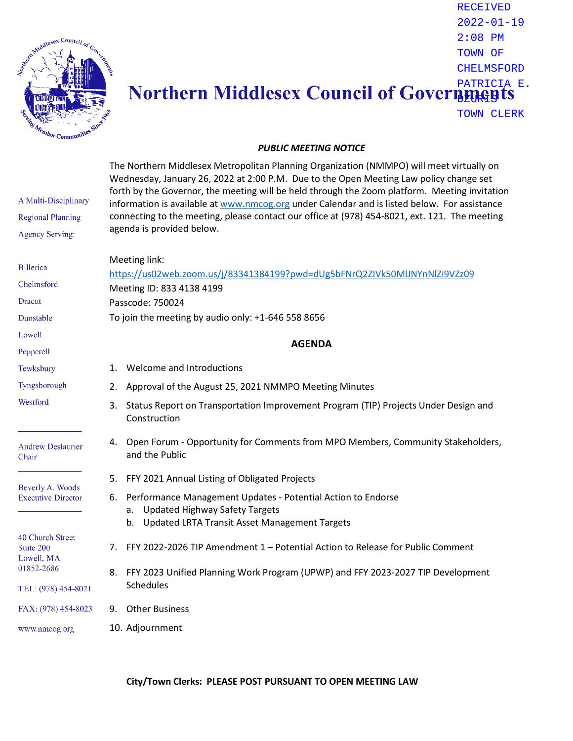

## RECEIVED 2022-01-19 2:08 PM TOWN OF CHELMSFORD PATRICIA E. **BZURESI** TOWN CLERK

## *PUBLIC MEETING NOTICE*

| A Multi-Disciplinary<br><b>Regional Planning</b><br><b>Agency Serving:</b>       | The Northern Middlesex Metropolitan Planning Organization (NMMPO) will meet virtually on<br>Wednesday, January 26, 2022 at 2:00 P.M. Due to the Open Meeting Law policy change set<br>forth by the Governor, the meeting will be held through the Zoom platform. Meeting invitation<br>information is available at www.nmcog.org under Calendar and is listed below. For assistance<br>connecting to the meeting, please contact our office at (978) 454-8021, ext. 121. The meeting<br>agenda is provided below. |
|----------------------------------------------------------------------------------|-------------------------------------------------------------------------------------------------------------------------------------------------------------------------------------------------------------------------------------------------------------------------------------------------------------------------------------------------------------------------------------------------------------------------------------------------------------------------------------------------------------------|
|                                                                                  | Meeting link:                                                                                                                                                                                                                                                                                                                                                                                                                                                                                                     |
| <b>Billerica</b>                                                                 | https://us02web.zoom.us/j/83341384199?pwd=dUg5bFNrQ2ZIVk50MlJNYnNlZi9VZz09                                                                                                                                                                                                                                                                                                                                                                                                                                        |
| Chelmsford                                                                       | Meeting ID: 833 4138 4199                                                                                                                                                                                                                                                                                                                                                                                                                                                                                         |
| <b>Dracut</b>                                                                    | Passcode: 750024                                                                                                                                                                                                                                                                                                                                                                                                                                                                                                  |
| Dunstable                                                                        | To join the meeting by audio only: +1-646 558 8656                                                                                                                                                                                                                                                                                                                                                                                                                                                                |
| Lowell                                                                           | <b>AGENDA</b>                                                                                                                                                                                                                                                                                                                                                                                                                                                                                                     |
| Pepperell                                                                        |                                                                                                                                                                                                                                                                                                                                                                                                                                                                                                                   |
| Tewksbury                                                                        | Welcome and Introductions<br>1.                                                                                                                                                                                                                                                                                                                                                                                                                                                                                   |
| Tyngsborough                                                                     | Approval of the August 25, 2021 NMMPO Meeting Minutes<br>2.                                                                                                                                                                                                                                                                                                                                                                                                                                                       |
| Westford                                                                         | Status Report on Transportation Improvement Program (TIP) Projects Under Design and<br>3.<br>Construction                                                                                                                                                                                                                                                                                                                                                                                                         |
| <b>Andrew Deslaurier</b><br>Chair                                                | Open Forum - Opportunity for Comments from MPO Members, Community Stakeholders,<br>4.<br>and the Public                                                                                                                                                                                                                                                                                                                                                                                                           |
| Beverly A. Woods<br><b>Executive Director</b>                                    | FFY 2021 Annual Listing of Obligated Projects<br>5.                                                                                                                                                                                                                                                                                                                                                                                                                                                               |
|                                                                                  | Performance Management Updates - Potential Action to Endorse<br>6.<br><b>Updated Highway Safety Targets</b><br>a.<br>b. Updated LRTA Transit Asset Management Targets                                                                                                                                                                                                                                                                                                                                             |
| 40 Church Street<br>Suite 200<br>Lowell, MA<br>01852-2686<br>TEL: (978) 454-8021 | FFY 2022-2026 TIP Amendment 1 - Potential Action to Release for Public Comment<br>7.                                                                                                                                                                                                                                                                                                                                                                                                                              |
|                                                                                  | FFY 2023 Unified Planning Work Program (UPWP) and FFY 2023-2027 TIP Development<br>8.<br>Schedules                                                                                                                                                                                                                                                                                                                                                                                                                |
| FAX: (978) 454-8023                                                              | <b>Other Business</b><br>9.                                                                                                                                                                                                                                                                                                                                                                                                                                                                                       |
| www.nmcog.org                                                                    | 10. Adjournment                                                                                                                                                                                                                                                                                                                                                                                                                                                                                                   |